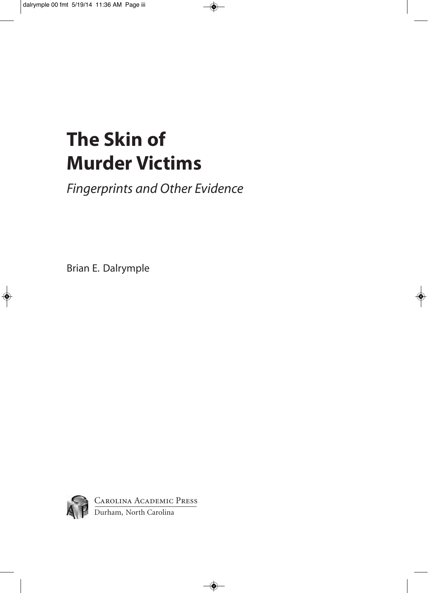# **The Skin of Murder Victims**

*Fingerprints and Other Evidence*

Brian E. Dalrymple

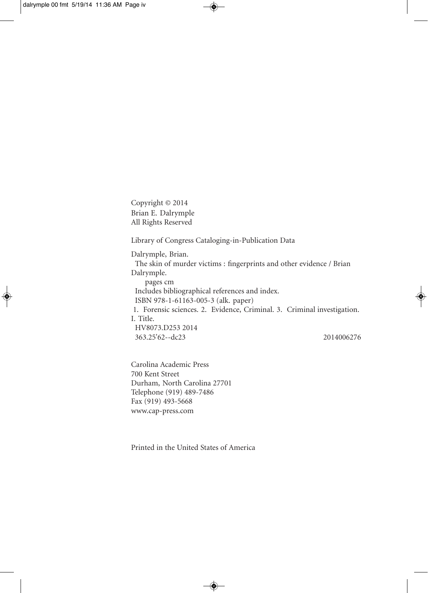Copyright © 2014 Brian E. Dalrymple All Rights Reserved

Library of Congress Cataloging-in-Publication Data

Dalrymple, Brian. The skin of murder victims : fingerprints and other evidence / Brian Dalrymple. pages cm Includes bibliographical references and index. ISBN 978-1-61163-005-3 (alk. paper) 1. Forensic sciences. 2. Evidence, Criminal. 3. Criminal investigation. I. Title. HV8073.D253 2014 363.25'62--dc23 2014006276

Carolina Academic Press 700 Kent Street Durham, North Carolina 27701 Telephone (919) 489-7486 Fax (919) 493-5668 www.cap-press.com

Printed in the United States of America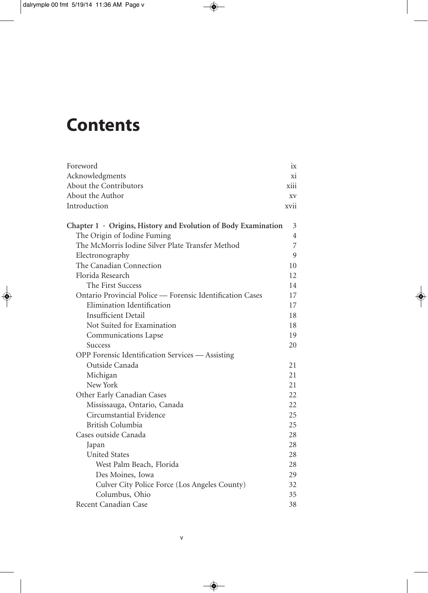# **Contents**

| Foreword                                                             | ix   |
|----------------------------------------------------------------------|------|
| Acknowledgments                                                      | xi   |
| About the Contributors                                               | xiii |
| About the Author                                                     | XV   |
| Introduction                                                         | xvii |
| Chapter $1 \cdot$ Origins, History and Evolution of Body Examination | 3    |
| The Origin of Iodine Fuming                                          | 4    |
| The McMorris Iodine Silver Plate Transfer Method                     | 7    |
| Electronography                                                      | 9    |
| The Canadian Connection                                              | 10   |
| Florida Research                                                     | 12   |
| The First Success                                                    | 14   |
| Ontario Provincial Police — Forensic Identification Cases            | 17   |
| Elimination Identification                                           | 17   |
| <b>Insufficient Detail</b>                                           | 18   |
| Not Suited for Examination                                           | 18   |
| Communications Lapse                                                 | 19   |
| <b>Success</b>                                                       | 20   |
| OPP Forensic Identification Services - Assisting                     |      |
| Outside Canada                                                       | 21   |
| Michigan                                                             | 21   |
| New York                                                             | 21   |
| Other Early Canadian Cases                                           | 22   |
| Mississauga, Ontario, Canada                                         | 22   |
| Circumstantial Evidence                                              | 25   |
| British Columbia                                                     | 25   |
| Cases outside Canada                                                 | 28   |
| Japan                                                                | 28   |
| <b>United States</b>                                                 | 28   |
| West Palm Beach, Florida                                             | 28   |
| Des Moines, Iowa                                                     | 29   |
| Culver City Police Force (Los Angeles County)                        | 32   |
| Columbus, Ohio                                                       | 35   |
| Recent Canadian Case                                                 | 38   |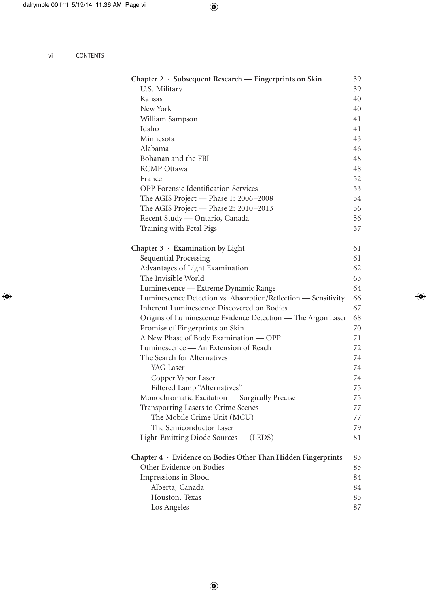| Chapter 2 · Subsequent Research — Fingerprints on Skin         | 39 |
|----------------------------------------------------------------|----|
| U.S. Military                                                  | 39 |
| Kansas                                                         | 40 |
| New York                                                       | 40 |
| William Sampson                                                | 41 |
| Idaho                                                          | 41 |
| Minnesota                                                      | 43 |
| Alabama                                                        | 46 |
| Bohanan and the FBI                                            | 48 |
| <b>RCMP</b> Ottawa                                             | 48 |
| France                                                         | 52 |
| <b>OPP</b> Forensic Identification Services                    | 53 |
| The AGIS Project - Phase 1: 2006-2008                          | 54 |
| The AGIS Project - Phase 2: 2010-2013                          | 56 |
| Recent Study - Ontario, Canada                                 | 56 |
| Training with Fetal Pigs                                       | 57 |
|                                                                |    |
| Chapter $3 \cdot$ Examination by Light                         | 61 |
| Sequential Processing                                          | 61 |
| Advantages of Light Examination                                | 62 |
| The Invisible World                                            | 63 |
| Luminescence - Extreme Dynamic Range                           | 64 |
| Luminescence Detection vs. Absorption/Reflection — Sensitivity | 66 |
| Inherent Luminescence Discovered on Bodies                     | 67 |
| Origins of Luminescence Evidence Detection - The Argon Laser   | 68 |
| Promise of Fingerprints on Skin                                | 70 |
| A New Phase of Body Examination - OPP                          | 71 |
| Luminescence — An Extension of Reach                           | 72 |
| The Search for Alternatives                                    | 74 |
| YAG Laser                                                      | 74 |
| Copper Vapor Laser                                             | 74 |
| Filtered Lamp "Alternatives"                                   | 75 |
| Monochromatic Excitation - Surgically Precise                  | 75 |
| Transporting Lasers to Crime Scenes                            | 77 |
| The Mobile Crime Unit (MCU)                                    | 77 |
| The Semiconductor Laser                                        | 79 |
| Light-Emitting Diode Sources — (LEDS)                          | 81 |
| Chapter 4 · Evidence on Bodies Other Than Hidden Fingerprints  | 83 |
| Other Evidence on Bodies                                       | 83 |
| Impressions in Blood                                           | 84 |
| Alberta, Canada                                                | 84 |
| Houston, Texas                                                 | 85 |
| Los Angeles                                                    | 87 |
|                                                                |    |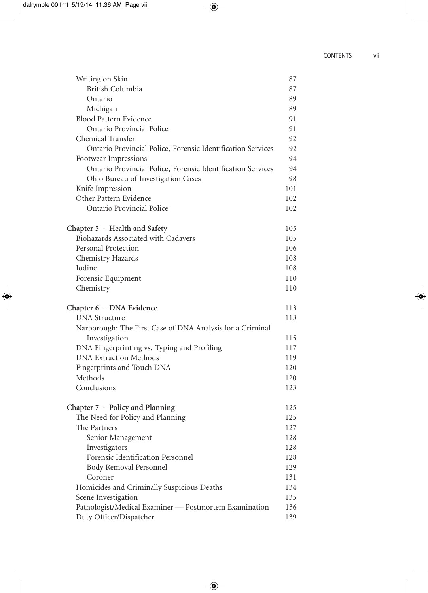| Writing on Skin                                             | 87         |
|-------------------------------------------------------------|------------|
| <b>British Columbia</b>                                     | 87         |
| Ontario                                                     | 89         |
| Michigan                                                    | 89         |
| Blood Pattern Evidence                                      | 91         |
| Ontario Provincial Police                                   | 91         |
| <b>Chemical Transfer</b>                                    | 92         |
| Ontario Provincial Police, Forensic Identification Services | 92         |
| Footwear Impressions                                        | 94         |
| Ontario Provincial Police, Forensic Identification Services | 94         |
| Ohio Bureau of Investigation Cases                          | 98         |
| Knife Impression                                            | 101        |
| Other Pattern Evidence                                      | 102        |
| Ontario Provincial Police                                   | 102        |
| Chapter 5 · Health and Safety                               | 105        |
| Biohazards Associated with Cadavers                         | 105        |
| Personal Protection                                         | 106        |
| Chemistry Hazards                                           | 108        |
| Iodine                                                      | 108        |
| Forensic Equipment                                          | 110        |
| Chemistry                                                   | 110        |
|                                                             |            |
| Chapter 6 · DNA Evidence                                    | 113        |
| <b>DNA</b> Structure                                        | 113        |
| Narborough: The First Case of DNA Analysis for a Criminal   |            |
| Investigation                                               | 115        |
| DNA Fingerprinting vs. Typing and Profiling                 | 117        |
| <b>DNA Extraction Methods</b>                               | 119<br>120 |
| Fingerprints and Touch DNA<br>Methods                       | 120        |
| Conclusions                                                 | 123        |
| Chapter $7 \cdot$ Policy and Planning                       | 125        |
| The Need for Policy and Planning                            | 125        |
| The Partners                                                | 127        |
| Senior Management                                           | 128        |
| Investigators                                               | 128        |
| Forensic Identification Personnel                           | 128        |
| Body Removal Personnel                                      | 129        |
| Coroner                                                     | 131        |
| Homicides and Criminally Suspicious Deaths                  | 134        |
| Scene Investigation                                         | 135        |
| Pathologist/Medical Examiner - Postmortem Examination       | 136        |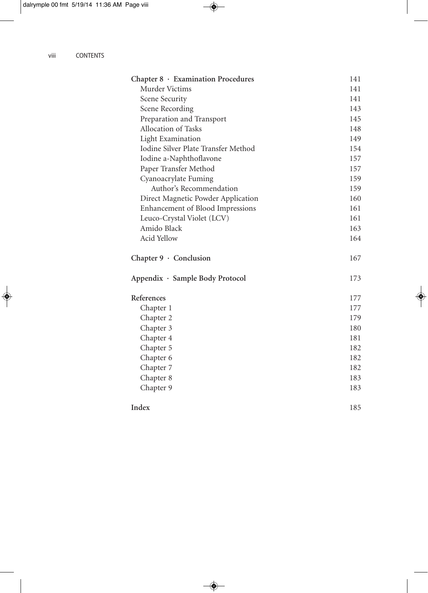| Chapter 8 · Examination Procedures  | 141 |
|-------------------------------------|-----|
| Murder Victims                      | 141 |
| Scene Security                      | 141 |
| Scene Recording                     | 143 |
| Preparation and Transport           | 145 |
| Allocation of Tasks                 | 148 |
| <b>Light Examination</b>            | 149 |
| Iodine Silver Plate Transfer Method | 154 |
| Iodine a-Naphthoflavone             | 157 |
| Paper Transfer Method               | 157 |
| Cyanoacrylate Fuming                | 159 |
| Author's Recommendation             | 159 |
| Direct Magnetic Powder Application  | 160 |
| Enhancement of Blood Impressions    | 161 |
| Leuco-Crystal Violet (LCV)          | 161 |
| Amido Black                         | 163 |
| Acid Yellow                         | 164 |
| Chapter $9 \cdot$ Conclusion        | 167 |
| Appendix · Sample Body Protocol     | 173 |
| References                          | 177 |
| Chapter 1                           | 177 |
| Chapter 2                           | 179 |
| Chapter 3                           | 180 |
| Chapter 4                           | 181 |
| Chapter 5                           | 182 |
| Chapter 6                           | 182 |
| Chapter 7                           | 182 |
| Chapter 8                           | 183 |
| Chapter 9                           | 183 |
| Index                               | 185 |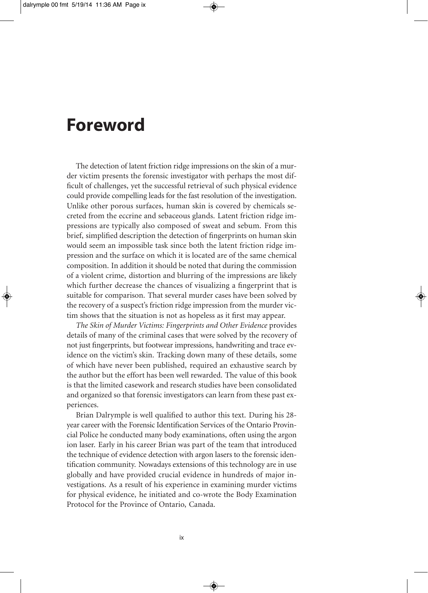#### **Foreword**

The detection of latent friction ridge impressions on the skin of a murder victim presents the forensic investigator with perhaps the most difficult of challenges, yet the successful retrieval of such physical evidence could provide compelling leads for the fast resolution of the investigation. Unlike other porous surfaces, human skin is covered by chemicals secreted from the eccrine and sebaceous glands. Latent friction ridge impressions are typically also composed of sweat and sebum. From this brief, simplified description the detection of fingerprints on human skin would seem an impossible task since both the latent friction ridge impression and the surface on which it is located are of the same chemical composition. In addition it should be noted that during the commission of a violent crime, distortion and blurring of the impressions are likely which further decrease the chances of visualizing a fingerprint that is suitable for comparison. That several murder cases have been solved by the recovery of a suspect's friction ridge impression from the murder victim shows that the situation is not as hopeless as it first may appear.

*The Skin of Murder Victims: Fingerprints and Other Evidence* provides details of many of the criminal cases that were solved by the recovery of not just fingerprints, but footwear impressions, handwriting and trace evidence on the victim's skin. Tracking down many of these details, some of which have never been published, required an exhaustive search by the author but the effort has been well rewarded. The value of this book is that the limited casework and research studies have been consolidated and organized so that forensic investigators can learn from these past experiences.

Brian Dalrymple is well qualified to author this text. During his 28 year career with the Forensic Identification Services of the Ontario Provincial Police he conducted many body examinations, often using the argon ion laser. Early in his career Brian was part of the team that introduced the technique of evidence detection with argon lasers to the forensic identification community. Nowadays extensions of this technology are in use globally and have provided crucial evidence in hundreds of major investigations. As a result of his experience in examining murder victims for physical evidence, he initiated and co- wrote the Body Examination Protocol for the Province of Ontario, Canada.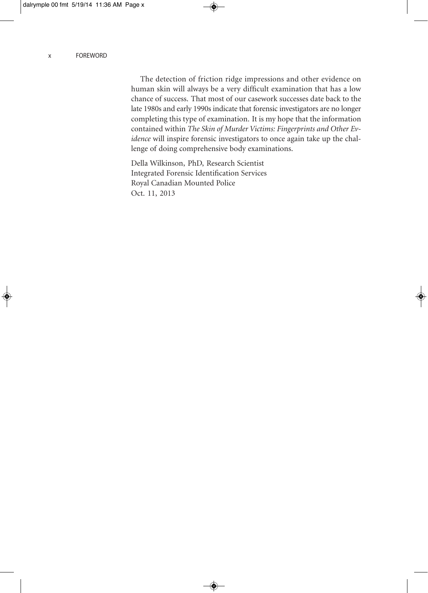The detection of friction ridge impressions and other evidence on human skin will always be a very difficult examination that has a low chance of success. That most of our casework successes date back to the late 1980s and early 1990s indicate that forensic investigators are no longer completing this type of examination. It is my hope that the information contained within *The Skin of Murder Victims: Fingerprints and Other Evidence* will inspire forensic investigators to once again take up the challenge of doing comprehensive body examinations.

Della Wilkinson, PhD, Research Scientist Integrated Forensic Identification Services Royal Canadian Mounted Police Oct. 11, 2013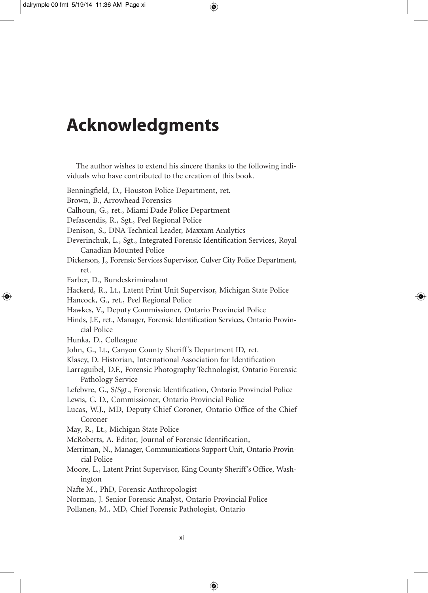## **Acknowledgments**

The author wishes to extend his sincere thanks to the following individuals who have contributed to the creation of this book. Benningfield, D., Houston Police Department, ret. Brown, B., Arrowhead Forensics Calhoun, G., ret., Miami Dade Police Department Defascendis, R., Sgt., Peel Regional Police Denison, S., DNA Technical Leader, Maxxam Analytics Deverinchuk, L., Sgt., Integrated Forensic Identification Services, Royal Canadian Mounted Police Dickerson, J., Forensic Services Supervisor, Culver City Police Department, ret. Farber, D., Bundeskriminalamt Hackerd, R., Lt., Latent Print Unit Supervisor, Michigan State Police Hancock, G., ret., Peel Regional Police Hawkes, V., Deputy Commissioner, Ontario Provincial Police Hinds, J.F., ret., Manager, Forensic Identification Services, Ontario Provincial Police Hunka, D., Colleague John, G., Lt., Canyon County Sheriff's Department ID, ret. Klasey, D. Historian, International Association for Identification Larraguibel, D.F., Forensic Photography Technologist, Ontario Forensic Pathology Service Lefebvre, G., S/Sgt., Forensic Identification, Ontario Provincial Police Lewis, C. D., Commissioner, Ontario Provincial Police Lucas, W.J., MD, Deputy Chief Coroner, Ontario Office of the Chief Coroner May, R., Lt., Michigan State Police McRoberts, A. Editor, Journal of Forensic Identification, Merriman, N., Manager, Communications Support Unit, Ontario Provincial Police Moore, L., Latent Print Supervisor, King County Sheriff's Office, Washington Nafte M., PhD, Forensic Anthropologist Norman, J. Senior Forensic Analyst, Ontario Provincial Police Pollanen, M., MD, Chief Forensic Pathologist, Ontario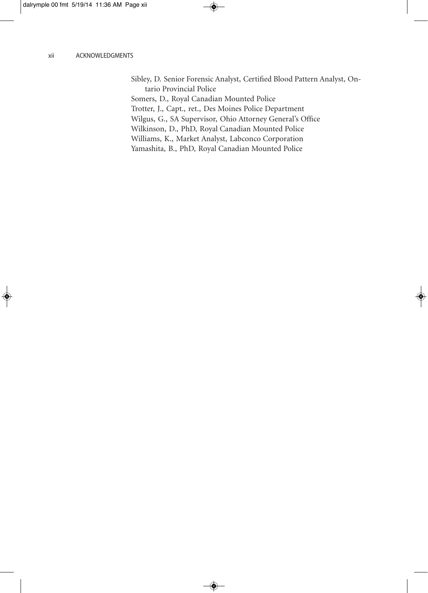Sibley, D. Senior Forensic Analyst, Certified Blood Pattern Analyst, Ontario Provincial Police

Somers, D., Royal Canadian Mounted Police Trotter, J., Capt., ret., Des Moines Police Department Wilgus, G., SA Supervisor, Ohio Attorney General's Office Wilkinson, D., PhD, Royal Canadian Mounted Police Williams, K., Market Analyst, Labconco Corporation Yamashita, B., PhD, Royal Canadian Mounted Police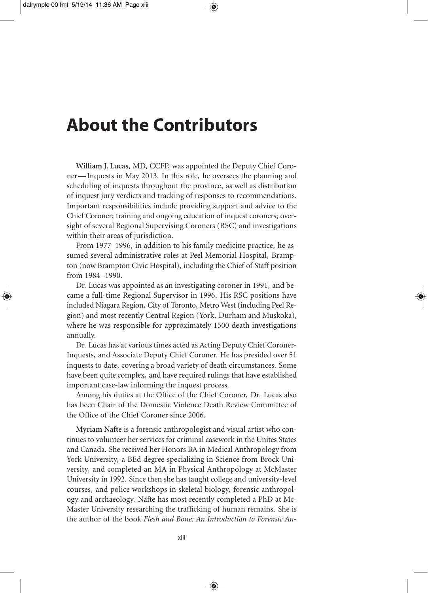## **About the Contributors**

**William J. Lucas**, MD, CCFP, was appointed the Deputy Chief Coroner— Inquests in May 2013. In this role, he oversees the planning and scheduling of inquests throughout the province, as well as distribution of inquest jury verdicts and tracking of responses to recommendations. Important responsibilities include providing support and advice to the Chief Coroner; training and ongoing education of inquest coroners; oversight of several Regional Supervising Coroners (RSC) and investigations within their areas of jurisdiction.

From 1977–1996, in addition to his family medicine practice, he assumed several administrative roles at Peel Memorial Hospital, Brampton (now Brampton Civic Hospital), including the Chief of Staff position from 1984-1990.

Dr. Lucas was appointed as an investigating coroner in 1991, and became a full-time Regional Supervisor in 1996. His RSC positions have included Niagara Region, City of Toronto, Metro West (including Peel Region) and most recently Central Region (York, Durham and Muskoka), where he was responsible for approximately 1500 death investigations annually.

Dr. Lucas has at various times acted as Acting Deputy Chief Coroner- Inquests, and Associate Deputy Chief Coroner. He has presided over 51 inquests to date, covering a broad variety of death circumstances. Some have been quite complex, and have required rulings that have established important case-law informing the inquest process.

Among his duties at the Office of the Chief Coroner, Dr. Lucas also has been Chair of the Domestic Violence Death Review Committee of the Office of the Chief Coroner since 2006.

**Myriam Nafte** is a forensic anthropologist and visual artist who continues to volunteer her services for criminal casework in the Unites States and Canada. She received her Honors BA in Medical Anthropology from York University, a BEd degree specializing in Science from Brock University, and completed an MA in Physical Anthropology at McMaster University in 1992. Since then she has taught college and university- level courses, and police workshops in skeletal biology, forensic anthropology and archaeology. Nafte has most recently completed a PhD at Mc-Master University researching the trafficking of human remains. She is the author of the book *Flesh and Bone: An Introduction to Forensic An-*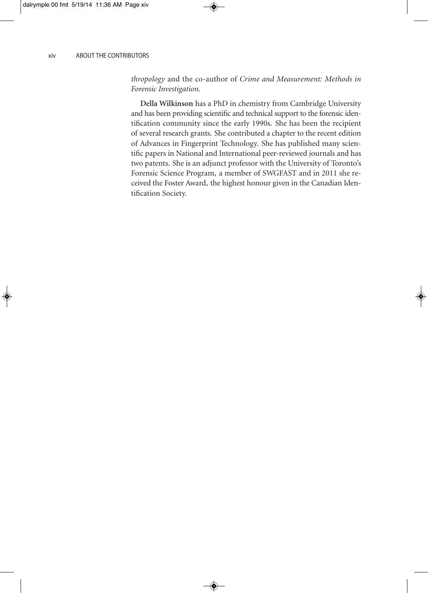*thropology* and the co- author of *Crime and Measurement: Methods in Forensic Investigation.*

**Della Wilkinson** has a PhD in chemistry from Cambridge University and has been providing scientific and technical support to the forensic identification community since the early 1990s. She has been the recipient of several research grants. She contributed a chapter to the recent edition of Advances in Fingerprint Technology. She has published many scientific papers in National and International peer- reviewed journals and has two patents. She is an adjunct professor with the University of Toronto's Forensic Science Program, a member of SWGFAST and in 2011 she received the Foster Award, the highest honour given in the Canadian Identification Society.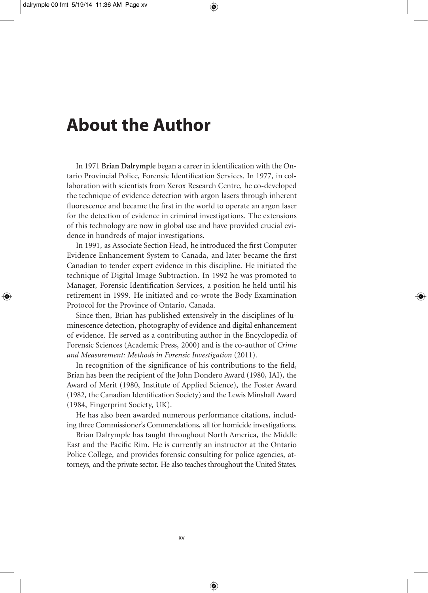#### **About the Author**

In 1971 **Brian Dalrymple** began a career in identification with the Ontario Provincial Police, Forensic Identification Services. In 1977, in collaboration with scientists from Xerox Research Centre, he co- developed the technique of evidence detection with argon lasers through inherent fluorescence and became the first in the world to operate an argon laser for the detection of evidence in criminal investigations. The extensions of this technology are now in global use and have provided crucial evidence in hundreds of major investigations.

In 1991, as Associate Section Head, he introduced the first Computer Evidence Enhancement System to Canada, and later became the first Canadian to tender expert evidence in this discipline. He initiated the technique of Digital Image Subtraction. In 1992 he was promoted to Manager, Forensic Identification Services, a position he held until his retirement in 1999. He initiated and co- wrote the Body Examination Protocol for the Province of Ontario, Canada.

Since then, Brian has published extensively in the disciplines of luminescence detection, photography of evidence and digital enhancement of evidence. He served as a contributing author in the Encyclopedia of Forensic Sciences (Academic Press, 2000) and is the co-author of *Crime and Measurement: Methods in Forensic Investigation* (2011).

In recognition of the significance of his contributions to the field, Brian has been the recipient of the John Dondero Award (1980, IAI), the Award of Merit (1980, Institute of Applied Science), the Foster Award (1982, the Canadian Identification Society) and the Lewis Minshall Award (1984, Fingerprint Society, UK).

He has also been awarded numerous performance citations, including three Commissioner's Commendations, all for homicide investigations.

Brian Dalrymple has taught throughout North America, the Middle East and the Pacific Rim. He is currently an instructor at the Ontario Police College, and provides forensic consulting for police agencies, attorneys, and the private sector. He also teaches throughout the United States.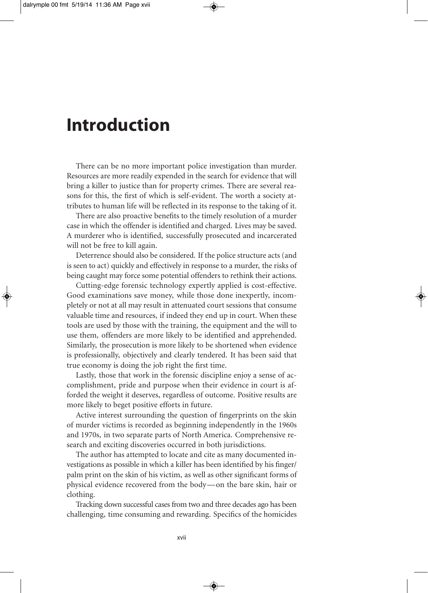# **Introduction**

There can be no more important police investigation than murder. Resources are more readily expended in the search for evidence that will bring a killer to justice than for property crimes. There are several reasons for this, the first of which is self-evident. The worth a society attributes to human life will be reflected in its response to the taking of it.

There are also proactive benefits to the timely resolution of a murder case in which the offender is identified and charged. Lives may be saved. A murderer who is identified, successfully prosecuted and incarcerated will not be free to kill again.

Deterrence should also be considered. If the police structure acts (and is seen to act) quickly and effectively in response to a murder, the risks of being caught may force some potential offenders to rethink their actions.

 Cutting- edge forensic technology expertly applied is cost-effective. Good examinations save money, while those done inexpertly, incompletely or not at all may result in attenuated court sessions that consume valuable time and resources, if indeed they end up in court. When these tools are used by those with the training, the equipment and the will to use them, offenders are more likely to be identified and apprehended. Similarly, the prosecution is more likely to be shortened when evidence is professionally, objectively and clearly tendered. It has been said that true economy is doing the job right the first time.

Lastly, those that work in the forensic discipline enjoy a sense of accomplishment, pride and purpose when their evidence in court is afforded the weight it deserves, regardless of outcome. Positive results are more likely to beget positive efforts in future.

Active interest surrounding the question of fingerprints on the skin of murder victims is recorded as beginning independently in the 1960s and 1970s, in two separate parts of North America. Comprehensive research and exciting discoveries occurred in both jurisdictions.

The author has attempted to locate and cite as many documented investigations as possible in which a killer has been identified by his finger/ palm print on the skin of his victim, as well as other significant forms of physical evidence recovered from the body— on the bare skin, hair or clothing.

Tracking down successful cases from two and three decades ago has been challenging, time consuming and rewarding. Specifics of the homicides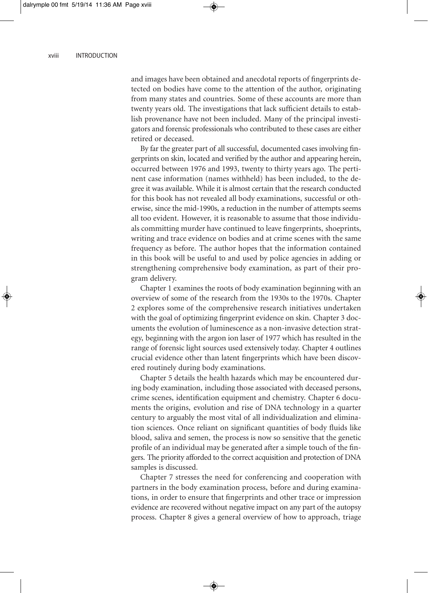and images have been obtained and anecdotal reports of fingerprints detected on bodies have come to the attention of the author, originating from many states and countries. Some of these accounts are more than twenty years old. The investigations that lack sufficient details to establish provenance have not been included. Many of the principal investigators and forensic professionals who contributed to these cases are either retired or deceased.

By far the greater part of all successful, documented cases involving fingerprints on skin, located and verified by the author and appearing herein, occurred between 1976 and 1993, twenty to thirty years ago. The pertinent case information (names withheld) has been included, to the degree it was available. While it is almost certain that the research conducted for this book has not revealed all body examinations, successful or otherwise, since the mid- 1990s, a reduction in the number of attempts seems all too evident. However, it is reasonable to assume that those individuals committing murder have continued to leave fingerprints, shoeprints, writing and trace evidence on bodies and at crime scenes with the same frequency as before. The author hopes that the information contained in this book will be useful to and used by police agencies in adding or strengthening comprehensive body examination, as part of their program delivery.

Chapter 1 examines the roots of body examination beginning with an overview of some of the research from the 1930s to the 1970s. Chapter 2 explores some of the comprehensive research initiatives undertaken with the goal of optimizing fingerprint evidence on skin. Chapter 3 documents the evolution of luminescence as a non- invasive detection strategy, beginning with the argon ion laser of 1977 which has resulted in the range of forensic light sources used extensively today. Chapter 4 outlines crucial evidence other than latent fingerprints which have been discovered routinely during body examinations.

Chapter 5 details the health hazards which may be encountered during body examination, including those associated with deceased persons, crime scenes, identification equipment and chemistry. Chapter 6 documents the origins, evolution and rise of DNA technology in a quarter century to arguably the most vital of all individualization and elimination sciences. Once reliant on significant quantities of body fluids like blood, saliva and semen, the process is now so sensitive that the genetic profile of an individual may be generated after a simple touch of the fingers. The priority afforded to the correct acquisition and protection of DNA samples is discussed.

Chapter 7 stresses the need for conferencing and cooperation with partners in the body examination process, before and during examinations, in order to ensure that fingerprints and other trace or impression evidence are recovered without negative impact on any part of the autopsy process. Chapter 8 gives a general overview of how to approach, triage